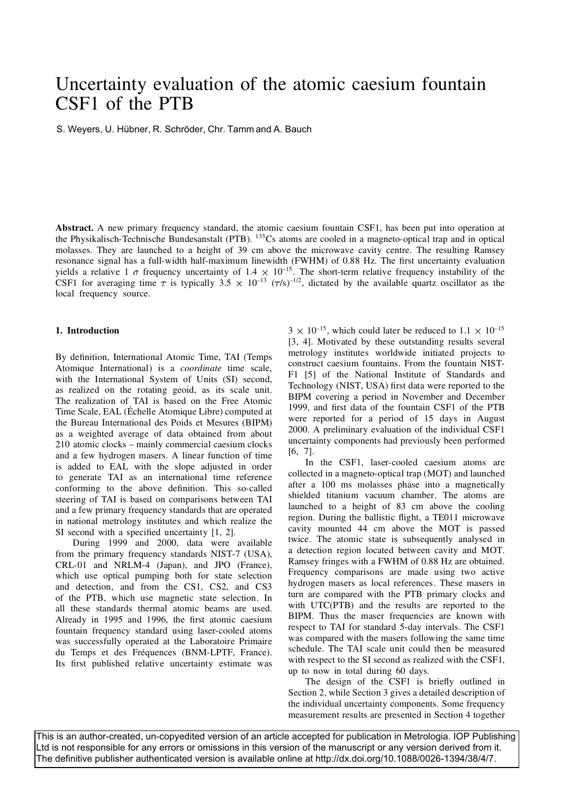# Uncertainty evaluation of the atomic caesium fountain CSF1 of the PTB

S. Weyers, U. Hübner, R. Schröder, Chr. Tamm and A. Bauch

**Abstract.** A new primary frequency standard, the atomic caesium fountain CSF1, has been put into operation at the Physikalisch-Technische Bundesanstalt (PTB). 133Cs atoms are cooled in a magneto-optical trap and in optical molasses. They are launched to a height of 39 cm above the microwave cavity centre. The resulting Ramsey resonance signal has a full-width half-maximum linewidth (FWHM) of 0.88 Hz. The first uncertainty evaluation yields a relative 1  $\sigma$  frequency uncertainty of 1.4  $\times$  10<sup>-15</sup>. The short-term relative frequency instability of the CSF1 for averaging time  $\tau$  is typically  $3.5 \times 10^{-13}$  ( $\tau$ /s)<sup>-1/2</sup>, dictated by the available quartz oscillator as the local frequency source.

## **1. Introduction**

By definition, International Atomic Time, TAI (Temps Atomique International) is a *coordinate* time scale, with the International System of Units (SI) second, as realized on the rotating geoid, as its scale unit. The realization of TAI is based on the Free Atomic Time Scale, EAL (Echelle Atomique Libre) computed at the Bureau International des Poids et Mesures (BIPM) as a weighted average of data obtained from about 210 atomic clocks – mainly commercial caesium clocks and a few hydrogen masers. A linear function of time is added to EAL with the slope adjusted in order to generate TAI as an international time reference conforming to the above definition. This so-called steering of TAI is based on comparisons between TAI and a few primary frequency standards that are operated in national metrology institutes and which realize the SI second with a specified uncertainty  $[1, 2]$ .

During 1999 and 2000, data were available from the primary frequency standards NIST-7 (USA), CRL-01 and NRLM-4 (Japan), and JPO (France), which use optical pumping both for state selection and detection, and from the CS1, CS2, and CS3 of the PTB, which use magnetic state selection. In all these standards thermal atomic beams are used. Already in 1995 and 1996, the first atomic caesium fountain frequency standard using laser-cooled atoms was successfully operated at the Laboratoire Primaire du Temps et des Fréquences (BNM-LPTF, France). Its first published relative uncertainty estimate was

 $3 \times 10^{-15}$ , which could later be reduced to  $1.1 \times 10^{-15}$ [3, 4]. Motivated by these outstanding results several metrology institutes worldwide initiated projects to construct caesium fountains. From the fountain NIST-F1 [5] of the National Institute of Standards and Technology (NIST, USA) first data were reported to the BIPM covering a period in November and December 1999, and first data of the fountain CSF1 of the PTB were reported for a period of 15 days in August 2000. A preliminary evaluation of the individual CSF1 uncertainty components had previously been performed [6, 7].

In the CSF1, laser-cooled caesium atoms are collected in a magneto-optical trap (MOT) and launched after a 100 ms molasses phase into a magnetically shielded titanium vacuum chamber. The atoms are launched to a height of 83 cm above the cooling region. During the ballistic flight, a TE011 microwave cavity mounted 44 cm above the MOT is passed twice. The atomic state is subsequently analysed in a detection region located between cavity and MOT. Ramsey fringes with a FWHM of 0.88 Hz are obtained. Frequency comparisons are made using two active hydrogen masers as local references. These masers in turn are compared with the PTB primary clocks and with UTC(PTB) and the results are reported to the BIPM. Thus the maser frequencies are known with respect to TAI for standard 5-day intervals. The CSF1 was compared with the masers following the same time schedule. The TAI scale unit could then be measured with respect to the SI second as realized with the CSF1, up to now in total during 60 days.

The design of the CSF1 is briefly outlined in Section 2, while Section 3 gives a detailed description of the individual uncertainty components. Some frequency measurement results are presented in Section 4 together

This is an author-created, un-copyedited version of an article accepted for publication in Metrologia. IOP Publishing Ltd is not responsible for any errors or omissions in this version of the manuscript or any version derived from it. The definitive publisher authenticated version is available online at http://dx.doi.org/10.1088/0026-1394/38/4/7.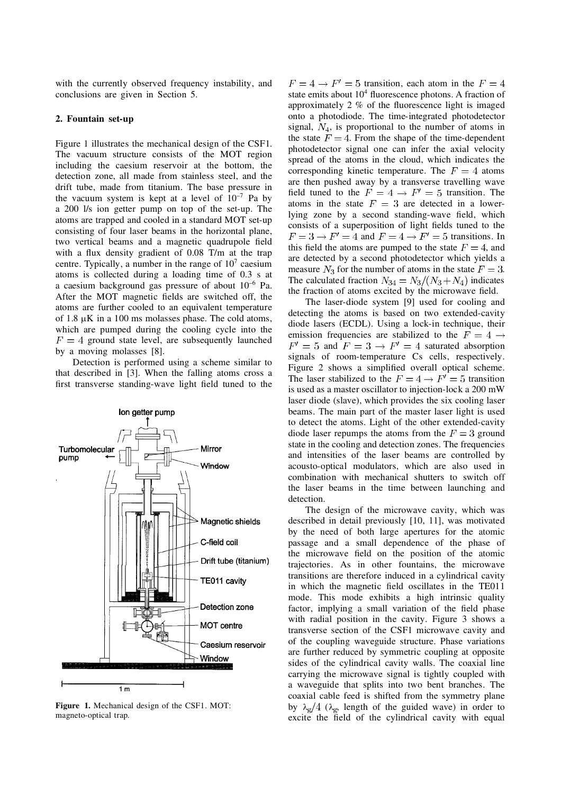with the currently observed frequency instability, and conclusions are given in Section 5.

## **2. Fountain set-up**

Figure 1 illustrates the mechanical design of the CSF1. The vacuum structure consists of the MOT region including the caesium reservoir at the bottom, the detection zone, all made from stainless steel, and the drift tube, made from titanium. The base pressure in the vacuum system is kept at a level of  $10^{-7}$  Pa by a 200 l/s ion getter pump on top of the set-up. The atoms are trapped and cooled in a standard MOT set-up consisting of four laser beams in the horizontal plane, two vertical beams and a magnetic quadrupole field with a flux density gradient of  $0.08$  T/m at the trap centre. Typically, a number in the range of  $10<sup>7</sup>$  caesium atoms is collected during a loading time of 0.3 s at a caesium background gas pressure of about  $10^{-6}$  Pa. After the MOT magnetic fields are switched off, the atoms are further cooled to an equivalent temperature of 1.8  $\mu$ K in a 100 ms molasses phase. The cold atoms, which are pumped during the cooling cycle into the  $F = 4$  ground state level, are subsequently launched by a moving molasses [8].

Detection is performed using a scheme similar to that described in [3]. When the falling atoms cross a first transverse standing-wave light field tuned to the



**Figure 1.** Mechanical design of the CSF1. MOT: magneto-optical trap.

 $F = 4 \rightarrow F' = 5$  transition, each atom in the  $F = 4$ state emits about  $10<sup>4</sup>$  fluorescence photons. A fraction of approximately  $2\%$  of the fluorescence light is imaged onto a photodiode. The time-integrated photodetector signal,  $N_4$ , is proportional to the number of atoms in the state  $F = 4$ . From the shape of the time-dependent photodetector signal one can infer the axial velocity spread of the atoms in the cloud, which indicates the corresponding kinetic temperature. The  $F = 4$  atoms are then pushed away by a transverse travelling wave field tuned to the  $F = 4 \rightarrow F' = 5$  transition. The atoms in the state  $F = 3$  are detected in a lowerlying zone by a second standing-wave field, which consists of a superposition of light fields tuned to the  $F = 3 \rightarrow F' = 4$  and  $F = 4 \rightarrow F' = 5$  transitions. In this field the atoms are pumped to the state  $F = 4$ , and are detected by a second photodetector which yields a measure  $N_3$  for the number of atoms in the state  $F = 3$ . The calculated fraction  $N_{34} = N_3/(N_3 + N_4)$  indicates the fraction of atoms excited by the microwave field.

The laser-diode system [9] used for cooling and detecting the atoms is based on two extended-cavity diode lasers (ECDL). Using a lock-in technique, their emission frequencies are stabilized to the  $\overline{F} = 4 \rightarrow$  $F' = 5$  and  $F = 3 \rightarrow F' = 4$  saturated absorption signals of room-temperature Cs cells, respectively. Figure 2 shows a simplified overall optical scheme. The laser stabilized to the  $F = 4 \rightarrow F' = 5$  transition is used as a master oscillator to injection-lock a 200 mW laser diode (slave), which provides the six cooling laser beams. The main part of the master laser light is used to detect the atoms. Light of the other extended-cavity diode laser repumps the atoms from the  $F = 3$  ground state in the cooling and detection zones. The frequencies and intensities of the laser beams are controlled by acousto-optical modulators, which are also used in combination with mechanical shutters to switch off the laser beams in the time between launching and detection.

The design of the microwave cavity, which was described in detail previously [10, 11], was motivated by the need of both large apertures for the atomic passage and a small dependence of the phase of the microwave field on the position of the atomic trajectories. As in other fountains, the microwave transitions are therefore induced in a cylindrical cavity in which the magnetic field oscillates in the TE011 mode. This mode exhibits a high intrinsic quality factor, implying a small variation of the field phase with radial position in the cavity. Figure 3 shows a transverse section of the CSF1 microwave cavity and of the coupling waveguide structure. Phase variations are further reduced by symmetric coupling at opposite sides of the cylindrical cavity walls. The coaxial line carrying the microwave signal is tightly coupled with a waveguide that splits into two bent branches. The coaxial cable feed is shifted from the symmetry plane by  $\lambda_g/4$  ( $\lambda_g$ , length of the guided wave) in order to excite the field of the cylindrical cavity with equal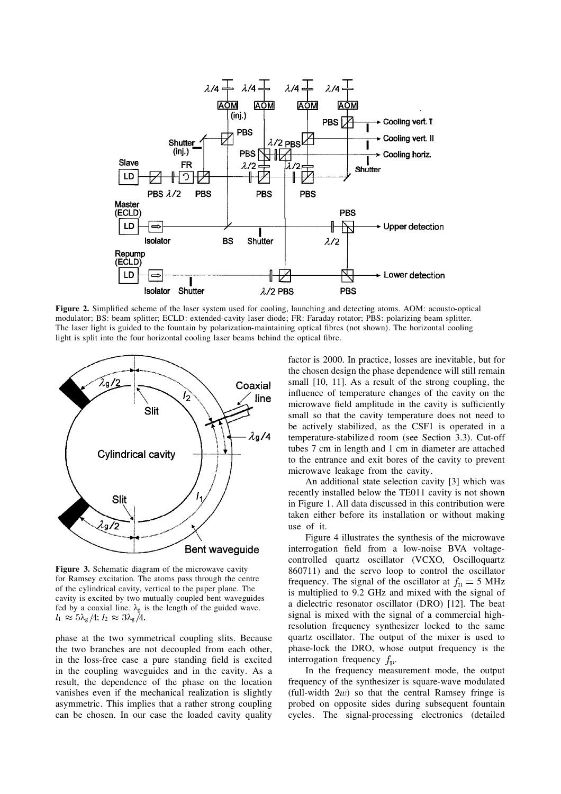

**Figure 2.** Simplified scheme of the laser system used for cooling, launching and detecting atoms. AOM: acousto-optical modulator; BS: beam splitter; ECLD: extended-cavity laser diode; FR: Faraday rotator; PBS: polarizing beam splitter. The laser light is guided to the fountain by polarization-maintaining optical fibres (not shown). The horizontal cooling light is split into the four horizontal cooling laser beams behind the optical fibre.



**Figure 3.** Schematic diagram of the microwave cavity for Ramsey excitation. The atoms pass through the centre of the cylindrical cavity, vertical to the paper plane. The cavity is excited by two mutually coupled bent waveguides fed by a coaxial line.  $\lambda_g$  is the length of the guided wave.  $_1 \approx 5\lambda_g/4; l_2 \approx 3\lambda_g$ 

phase at the two symmetrical coupling slits. Because the two branches are not decoupled from each other, in the loss-free case a pure standing field is excited in the coupling waveguides and in the cavity. As a result, the dependence of the phase on the location vanishes even if the mechanical realization is slightly asymmetric. This implies that a rather strong coupling can be chosen. In our case the loaded cavity quality

factor is 2000. In practice, losses are inevitable, but for the chosen design the phase dependence will still remain small [10, 11]. As a result of the strong coupling, the influence of temperature changes of the cavity on the microwave field amplitude in the cavity is sufficiently small so that the cavity temperature does not need to be actively stabilized, as the CSF1 is operated in a temperature-stabilize d room (see Section 3.3). Cut-off tubes 7 cm in length and 1 cm in diameter are attached to the entrance and exit bores of the cavity to prevent microwave leakage from the cavity.

An additional state selection cavity [3] which was recently installed below the TE011 cavity is not shown in Figure 1. All data discussed in this contribution were taken either before its installation or without making use of it.

Figure 4 illustrates the synthesis of the microwave interrogation field from a low-noise BVA voltagecontrolled quartz oscillator (VCXO, Oscilloquartz 860711) and the servo loop to control the oscillator frequency. The signal of the oscillator at  $f_n = 5$  MHz is multiplied to 9.2 GHz and mixed with the signal of a dielectric resonator oscillator (DRO) [12]. The beat signal is mixed with the signal of a commercial highresolution frequency synthesizer locked to the same quartz oscillator. The output of the mixer is used to phase-lock the DRO, whose output frequency is the interrogation frequency  $f<sub>p</sub>$ .

In the frequency measurement mode, the output frequency of the synthesizer is square-wave modulated (full-width  $2w$ ) so that the central Ramsey fringe is probed on opposite sides during subsequent fountain cycles. The signal-processing electronics (detailed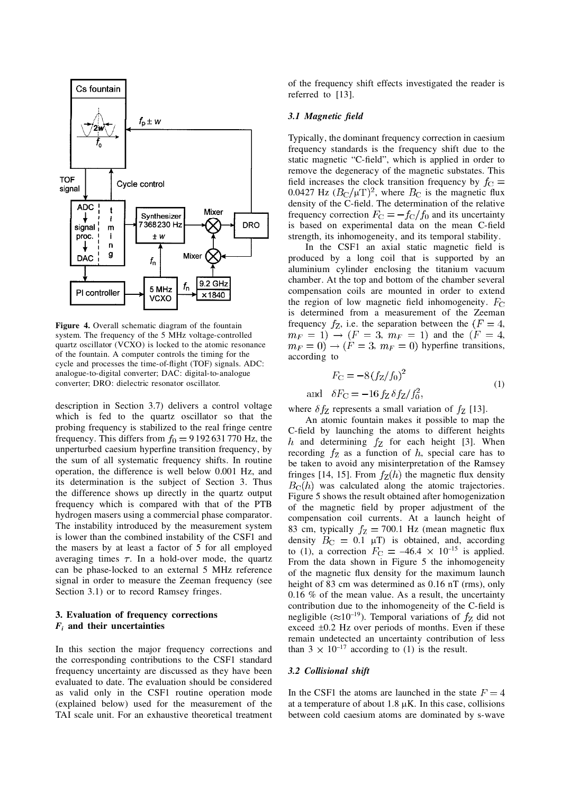

**Figure 4.** Overall schematic diagram of the fountain system. The frequency of the 5 MHz voltage-controlled quartz oscillator (VCXO) is locked to the atomic resonance of the fountain. A computer controls the timing for the cycle and processes the time-of-flight (TOF) signals. ADC: analogue-to-digital converter; DAC: digital-to-analogue converter; DRO: dielectric resonator oscillator.

description in Section 3.7) delivers a control voltage which is fed to the quartz oscillator so that the probing frequency is stabilized to the real fringe centre frequency. This differs from  $f_0 = 9192631770$  Hz, the unperturbed caesium hyperfine transition frequency, by the sum of all systematic frequency shifts. In routine operation, the difference is well below 0.001 Hz, and its determination is the subject of Section 3. Thus the difference shows up directly in the quartz output frequency which is compared with that of the PTB hydrogen masers using a commercial phase comparator. The instability introduced by the measurement system is lower than the combined instability of the CSF1 and the masers by at least a factor of 5 for all employed averaging times  $\tau$ . In a hold-over mode, the quartz can be phase-locked to an external 5 MHz reference signal in order to measure the Zeeman frequency (see Section 3.1) or to record Ramsey fringes.

# **3. Evaluation of frequency corrections** *Fi* **and their uncertainties**

In this section the major frequency corrections and the corresponding contributions to the CSF1 standard frequency uncertainty are discussed as they have been evaluated to date. The evaluation should be considered as valid only in the CSF1 routine operation mode (explained below) used for the measurement of the TAI scale unit. For an exhaustive theoretical treatment

of the frequency shift effects investigated the reader is referred to [13].

#### *3.1 Magnetic field*

Typically, the dominant frequency correction in caesium frequency standards is the frequency shift due to the static magnetic "C-field", which is applied in order to remove the degeneracy of the magnetic substates. This field increases the clock transition frequency by 0.0427 Hz  $(B_C/\mu T)^2$ , where  $B_C$  is the magnetic flux density of the C-field. The determination of the relative frequency correction  $F_C = -f_C/f_0$  and its uncertainty is based on experimental data on the mean C-field strength, its inhomogeneity, and its temporal stability.

In the CSF1 an axial static magnetic field is produced by a long coil that is supported by an aluminium cylinder enclosing the titanium vacuum chamber. At the top and bottom of the chamber several compensation coils are mounted in order to extend the region of low magnetic field inhomogeneity. is determined from a measurement of the Zeeman frequency  $f_Z$ , i.e. the separation between the  $(F = 4,$  $m_F = 1$ )  $\rightarrow$  ( $F = 3$ ,  $m_F = 1$ ) and the ( $F = 4$ , ,  $m_F = 0$ ) hyperfine transitions, according to

$$
F_{\rm C} = -8(f_{\rm Z}/f_0)^2
$$
  
and 
$$
\delta F_{\rm C} = -16 f_{\rm Z} \delta f_{\rm Z}/f_0^2,
$$
 (1)

where  $\delta f_Z$  represents a small variation of  $f_Z$  [13].

An atomic fountain makes it possible to map the C-field by launching the atoms to different heights h and determining  $f<sub>Z</sub>$  for each height [3]. When recording  $f_Z$  as a function of h, special care has to be taken to avoid any misinterpretation of the Ramsey fringes [14, 15]. From  $f_Z(h)$  the magnetic flux density  $B<sub>C</sub>(h)$  was calculated along the atomic trajectories. Figure 5 shows the result obtained after homogenization of the magnetic field by proper adjustment of the compensation coil currents. At a launch height of 83 cm, typically  $f_Z = 700.1$  Hz (mean magnetic flux density  $B_{\text{C}} = 0.1 \text{ } \mu \text{T}$  is obtained, and, according to (1), a correction  $F_C = -46.4 \times 10^{-15}$  is applied. From the data shown in Figure 5 the inhomogeneity of the magnetic flux density for the maximum launch height of 83 cm was determined as 0.16 nT (rms), only 0.16 % of the mean value. As a result, the uncertainty contribution due to the inhomogeneity of the C-field is negligible ( $\approx 10^{-19}$ ). Temporal variations of  $f_Z$  did not exceed  $\pm 0.2$  Hz over periods of months. Even if these remain undetected an uncertainty contribution of less than  $3 \times 10^{-17}$  according to (1) is the result.

#### *3.2 Collisional shift*

In the CSF1 the atoms are launched in the state  $F = 4$ at a temperature of about  $1.8 \mu K$ . In this case, collisions between cold caesium atoms are dominated by s-wave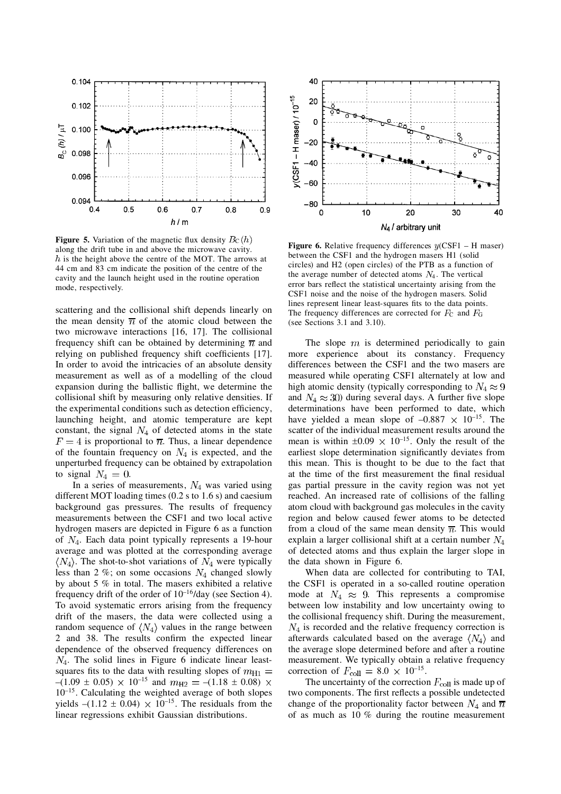

**Figure 5.** Variation of the magnetic flux density  $B_C(h)$ along the drift tube in and above the microwave cavity.  $h$  is the height above the centre of the MOT. The arrows at 44 cm and 83 cm indicate the position of the centre of the cavity and the launch height used in the routine operation mode, respectively.

scattering and the collisional shift depends linearly on the mean density  $\overline{n}$  of the atomic cloud between the two microwave interactions [16, 17]. The collisional frequency shift can be obtained by determining  $\overline{n}$  and relying on published frequency shift coefficients [17]. In order to avoid the intricacies of an absolute density measurement as well as of a modelling of the cloud expansion during the ballistic flight, we determine the collisional shift by measuring only relative densities. If the experimental conditions such as detection efficiency, launching height, and atomic temperature are kept constant, the signal  $N_4$  of detected atoms in the state  $F = 4$  is proportional to  $\overline{n}$ . Thus, a linear dependence of the fountain frequency on  $N_4$  is expected, and the unperturbed frequency can be obtained by extrapolation to signal  $N_4 = 0$ .

In a series of measurements,  $N_4$  was varied using different MOT loading times (0.2 s to 1.6 s) and caesium background gas pressures. The results of frequency measurements between the CSF1 and two local active hydrogen masers are depicted in Figure 6 as a function of  $N_4$ . Each data point typically represents a 19-hour average and was plotted at the corresponding average  $\langle N_4 \rangle$ . The shot-to-shot variations of  $N_4$  were typically less than 2 %; on some occasions  $N_4$  changed slowly by about 5 % in total. The masers exhibited a relative frequency drift of the order of  $10^{-16}$ /day (see Section 4). To avoid systematic errors arising from the frequency drift of the masers, the data were collected using a random sequence of  $\langle N_4 \rangle$  values in the range between 2 and 38. The results confirm the expected linear dependence of the observed frequency differences on  $N_4$ . The solid lines in Figure 6 indicate linear leastsquares fits to the data with resulting slopes of  $-(1.09 \pm 0.05) \times 10^{-15}$  and  $m_{\text{H2}} = -(1.18 \pm 0.08)$  $10^{-15}$ . Calculating the weighted average of both slopes yields  $-(1.12 \pm 0.04) \times 10^{-15}$ . The residuals from the linear regressions exhibit Gaussian distributions.



**Figure 6.** Relative frequency differences  $y$ (CSF1 – H maser) between the CSF1 and the hydrogen masers H1 (solid circles) and H2 (open circles) of the PTB as a function of the average number of detected atoms  $N_4$ . The vertical error bars reflect the statistical uncertainty arising from the CSF1 noise and the noise of the hydrogen masers. Solid lines represent linear least-squares fits to the data points. The frequency differences are corrected for  $F_C$  and  $F_G$ (see Sections 3.1 and 3.10).

The slope  $m$  is determined periodically to gain more experience about its constancy. Frequency differences between the CSF1 and the two masers are measured while operating CSF1 alternately at low and high atomic density (typically corresponding to  $N_4 \approx 9$ and  $N_4 \approx 30$ ) during several days. A further five slope determinations have been performed to date, which have yielded a mean slope of  $-0.887 \times 10^{-15}$ . The scatter of the individual measurement results around the mean is within  $\pm 0.09 \times 10^{-15}$ . Only the result of the earliest slope determination significantly deviates from this mean. This is thought to be due to the fact that at the time of the first measurement the final residual gas partial pressure in the cavity region was not yet reached. An increased rate of collisions of the falling atom cloud with background gas molecules in the cavity region and below caused fewer atoms to be detected from a cloud of the same mean density  $\overline{n}$ . This would explain a larger collisional shift at a certain number  $N_4$ of detected atoms and thus explain the larger slope in the data shown in Figure 6.

When data are collected for contributing to TAI, the CSF1 is operated in a so-called routine operation mode at  $N_4 \approx 9$ . This represents a compromise between low instability and low uncertainty owing to the collisional frequency shift. During the measurement,  $N_4$  is recorded and the relative frequency correction is afterwards calculated based on the average  $\langle N_4 \rangle$  and the average slope determined before and after a routine measurement. We typically obtain a relative frequency correction of  $F_{\text{coll}} = 8.0 \times 10^{-15}$ .

The uncertainty of the correction  $F_{\text{coll}}$  is made up of two components. The first reflects a possible undetected change of the proportionality factor between  $N_4$  and  $\overline{n}$ of as much as 10 % during the routine measurement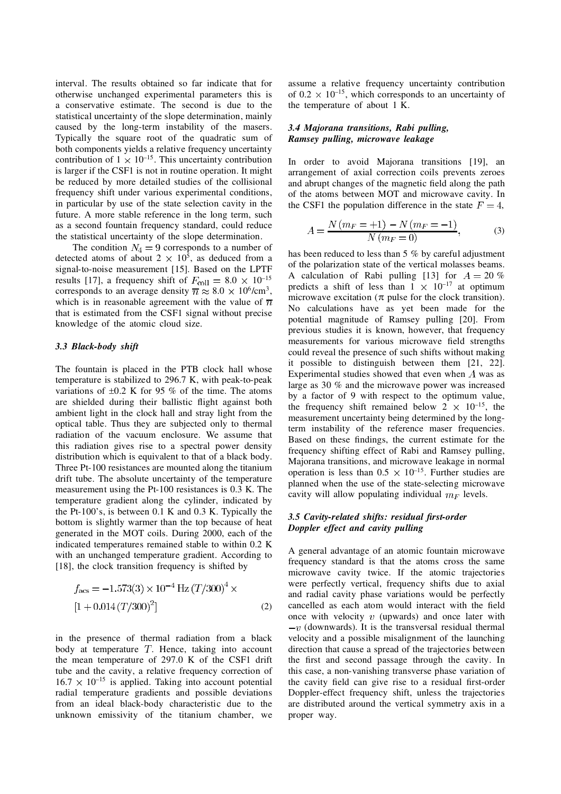interval. The results obtained so far indicate that for otherwise unchanged experimental parameters this is a conservative estimate. The second is due to the statistical uncertainty of the slope determination, mainly caused by the long-term instability of the masers. Typically the square root of the quadratic sum of both components yields a relative frequency uncertainty contribution of  $1 \times 10^{-15}$ . This uncertainty contribution is larger if the CSF1 is not in routine operation. It might be reduced by more detailed studies of the collisional frequency shift under various experimental conditions, in particular by use of the state selection cavity in the future. A more stable reference in the long term, such as a second fountain frequency standard, could reduce the statistical uncertainty of the slope determination.

The condition  $N_4 = 9$  corresponds to a number of detected atoms of about  $2 \times 10^5$ , as deduced from a signal-to-noise measurement [15]. Based on the LPTF results [17], a frequency shift of  $F_{\text{coll}} = 8.0 \times 10^{-15}$ corresponds to an average density  $\overline{n} \approx 8.0 \times 10^6/\text{cm}^3$ , which is in reasonable agreement with the value of  $\overline{n}$ that is estimated from the CSF1 signal without precise knowledge of the atomic cloud size.

# *3.3 Black-body shift*

The fountain is placed in the PTB clock hall whose temperature is stabilized to 296.7 K, with peak-to-peak variations of  $\pm 0.2$  K for 95 % of the time. The atoms are shielded during their ballistic flight against both ambient light in the clock hall and stray light from the optical table. Thus they are subjected only to thermal radiation of the vacuum enclosure. We assume that this radiation gives rise to a spectral power density distribution which is equivalent to that of a black body. Three Pt-100 resistances are mounted along the titanium drift tube. The absolute uncertainty of the temperature measurement using the Pt-100 resistances is 0.3 K. The temperature gradient along the cylinder, indicated by the Pt-100's, is between 0.1 K and 0.3 K. Typically the bottom is slightly warmer than the top because of heat generated in the MOT coils. During 2000, each of the indicated temperatures remained stable to within 0.2 K with an unchanged temperature gradient. According to [18], the clock transition frequency is shifted by

$$
f_{\text{acs}} = -1.573(3) \times 10^{-4} \,\text{Hz} \left( \frac{T}{300} \right)^4 \times \left[ 1 + 0.014 \left( \frac{T}{300} \right)^2 \right] \tag{2}
$$

in the presence of thermal radiation from a black body at temperature  $T$ . Hence, taking into account the mean temperature of 297.0 K of the CSF1 drift tube and the cavity, a relative frequency correction of  $16.7 \times 10^{-15}$  is applied. Taking into account potential radial temperature gradients and possible deviations from an ideal black-body characteristic due to the unknown emissivity of the titanium chamber, we assume a relative frequency uncertainty contribution of  $0.2 \times 10^{-15}$ , which corresponds to an uncertainty of the temperature of about 1 K.

## *3.4 Majorana transitions, Rabi pulling, Ramsey pulling, microwave leakage*

In order to avoid Majorana transitions [19], an arrangement of axial correction coils prevents zeroes and abrupt changes of the magnetic field along the path of the atoms between MOT and microwave cavity. In the CSF1 the population difference in the state  $F = 4$ ,

$$
A = \frac{N(m_F = +1) - N(m_F = -1)}{N(m_F = 0)},
$$
\n(3)

has been reduced to less than 5 % by careful adjustment of the polarization state of the vertical molasses beams. A calculation of Rabi pulling [13] for  $A = 20\%$ predicts a shift of less than  $1 \times 10^{-17}$  at optimum microwave excitation ( $\pi$  pulse for the clock transition). No calculations have as yet been made for the potential magnitude of Ramsey pulling [20]. From previous studies it is known, however, that frequency measurements for various microwave field strengths could reveal the presence of such shifts without making it possible to distinguish between them [21, 22]. Experimental studies showed that even when  $A$  was as large as 30 % and the microwave power was increased by a factor of 9 with respect to the optimum value, the frequency shift remained below  $2 \times 10^{-15}$ , the measurement uncertainty being determined by the longterm instability of the reference maser frequencies. Based on these findings, the current estimate for the frequency shifting effect of Rabi and Ramsey pulling, Majorana transitions, and microwave leakage in normal operation is less than  $0.5 \times 10^{-15}$ . Further studies are planned when the use of the state-selecting microwave cavity will allow populating individual  $m_F$  levels.

## *3.5 Cavity-related shifts: residual first-order Doppler effect and cavity pulling*

A general advantage of an atomic fountain microwave frequency standard is that the atoms cross the same microwave cavity twice. If the atomic trajectories were perfectly vertical, frequency shifts due to axial and radial cavity phase variations would be perfectly cancelled as each atom would interact with the field once with velocity  $v$  (upwards) and once later with  $-v$  (downwards). It is the transversal residual thermal velocity and a possible misalignment of the launching direction that cause a spread of the trajectories between the first and second passage through the cavity. In this case, a non-vanishing transverse phase variation of the cavity field can give rise to a residual first-order Doppler-effect frequency shift, unless the trajectories are distributed around the vertical symmetry axis in a proper way.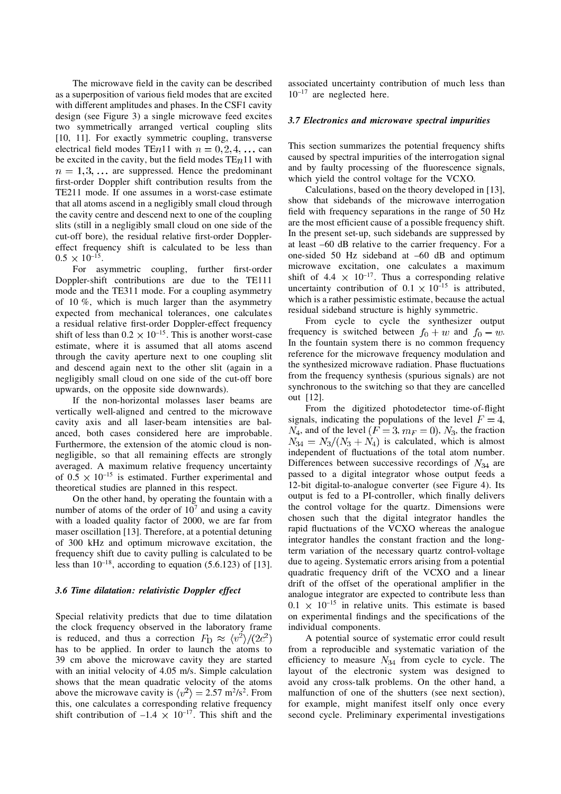The microwave field in the cavity can be described as a superposition of various field modes that are excited with different amplitudes and phases. In the CSF1 cavity design (see Figure 3) a single microwave feed excites two symmetrically arranged vertical coupling slits [10, 11]. For exactly symmetric coupling, transverse electrical field modes TE $n$ 11 with  $n = 0, 2, 4, \ldots$  can be excited in the cavity, but the field modes  $TEn11$  with  $n = 1, 3, \ldots$  are suppressed. Hence the predominant first-order Doppler shift contribution results from the TE211 mode. If one assumes in a worst-case estimate that all atoms ascend in a negligibly small cloud through the cavity centre and descend next to one of the coupling slits (still in a negligibly small cloud on one side of the cut-off bore), the residual relative first-order Dopplereffect frequency shift is calculated to be less than  $0.5 \times 10^{-15}$ .

For asymmetric coupling, further first-order Doppler-shift contributions are due to the TE111 mode and the TE311 mode. For a coupling asymmetry of 10 %, which is much larger than the asymmetry expected from mechanical tolerances, one calculates a residual relative first-order Doppler-effect frequency shift of less than  $0.2 \times 10^{-15}$ . This is another worst-case estimate, where it is assumed that all atoms ascend through the cavity aperture next to one coupling slit and descend again next to the other slit (again in a negligibly small cloud on one side of the cut-off bore upwards, on the opposite side downwards).

If the non-horizontal molasses laser beams are vertically well-aligned and centred to the microwave cavity axis and all laser-beam intensities are balanced, both cases considered here are improbable. Furthermore, the extension of the atomic cloud is nonnegligible, so that all remaining effects are strongly averaged. A maximum relative frequency uncertainty of  $0.5 \times 10^{-15}$  is estimated. Further experimental and theoretical studies are planned in this respect.

On the other hand, by operating the fountain with a number of atoms of the order of  $10<sup>7</sup>$  and using a cavity with a loaded quality factor of 2000, we are far from maser oscillation [13]. Therefore, at a potential detuning of 300 kHz and optimum microwave excitation, the frequency shift due to cavity pulling is calculated to be less than  $10^{-18}$ , according to equation (5.6.123) of [13].

#### *3.6 Time dilatation: relativistic Doppler effect*

Special relativity predicts that due to time dilatation the clock frequency observed in the laboratory frame is reduced, and thus a correction  $F_{\rm D} \approx \langle v^2 \rangle / (2c^2)$ has to be applied. In order to launch the atoms to 39 cm above the microwave cavity they are started with an initial velocity of 4.05 m/s. Simple calculation shows that the mean quadratic velocity of the atoms above the microwave cavity is  $\langle v^2 \rangle = 2.57 \text{ m}^2/\text{s}^2$ . From this, one calculates a corresponding relative frequency shift contribution of  $-1.4 \times 10^{-17}$ . This shift and the

associated uncertainty contribution of much less than  $10^{-17}$  are neglected here.

# *3.7 Electronics and microwave spectral impurities*

This section summarizes the potential frequency shifts caused by spectral impurities of the interrogation signal and by faulty processing of the fluorescence signals, which yield the control voltage for the VCXO.

Calculations, based on the theory developed in [13], show that sidebands of the microwave interrogation field with frequency separations in the range of 50 Hz are the most efficient cause of a possible frequency shift. In the present set-up, such sidebands are suppressed by at least –60 dB relative to the carrier frequency. For a one-sided 50 Hz sideband at –60 dB and optimum microwave excitation, one calculates a maximum shift of 4.4  $\times$  10<sup>-17</sup>. Thus a corresponding relative uncertainty contribution of  $0.1 \times 10^{-15}$  is attributed, which is a rather pessimistic estimate, because the actual residual sideband structure is highly symmetric.

From cycle to cycle the synthesizer output frequency is switched between  $f_0 + w$  and  $f_0 - w$ . In the fountain system there is no common frequency reference for the microwave frequency modulation and the synthesized microwave radiation. Phase fluctuations from the frequency synthesis (spurious signals) are not synchronous to the switching so that they are cancelled out [12].

From the digitized photodetector time-of-flight signals, indicating the populations of the level  $F = 4$ ,  $N_4$ , and of the level  $(F = 3, m_F = 0)$ ,  $N_3$ , the fraction  $N_{34} = N_3/(N_3 + N_4)$  is calculated, which is almost independent of fluctuations of the total atom number. Differences between successive recordings of  $N_{34}$  are passed to a digital integrator whose output feeds a 12-bit digital-to-analogue converter (see Figure 4). Its output is fed to a PI-controller, which finally delivers the control voltage for the quartz. Dimensions were chosen such that the digital integrator handles the rapid fluctuations of the VCXO whereas the analogue integrator handles the constant fraction and the longterm variation of the necessary quartz control-voltage due to ageing. Systematic errors arising from a potential quadratic frequency drift of the VCXO and a linear drift of the offset of the operational amplifier in the analogue integrator are expected to contribute less than  $0.1 \times 10^{-15}$  in relative units. This estimate is based on experimental findings and the specifications of the individual components.

A potential source of systematic error could result from a reproducible and systematic variation of the efficiency to measure  $N_{34}$  from cycle to cycle. The layout of the electronic system was designed to avoid any cross-talk problems. On the other hand, a malfunction of one of the shutters (see next section), for example, might manifest itself only once every second cycle. Preliminary experimental investigations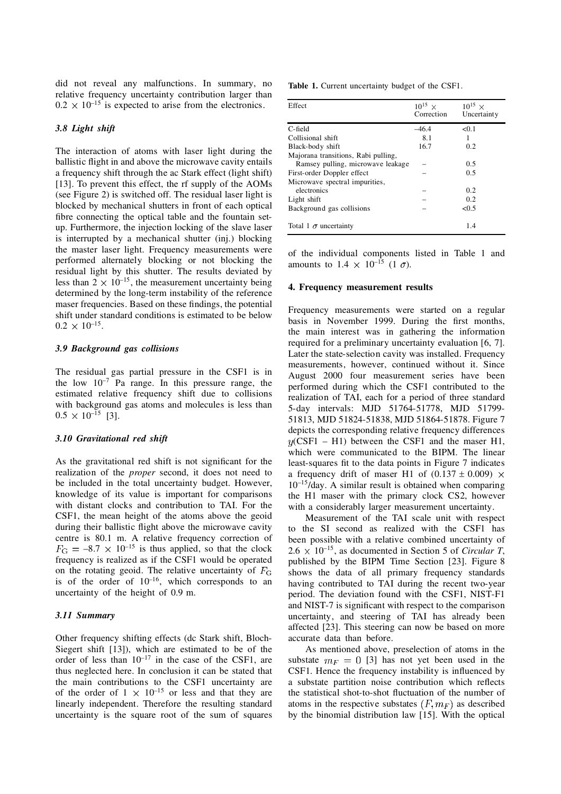did not reveal any malfunctions. In summary, no relative frequency uncertainty contribution larger than  $0.2 \times 10^{-15}$  is expected to arise from the electronics.

# *3.8 Light shift*

The interaction of atoms with laser light during the ballistic flight in and above the microwave cavity entails a frequency shift through the ac Stark effect (light shift) [13]. To prevent this effect, the rf supply of the AOMs (see Figure 2) is switched off. The residual laser light is blocked by mechanical shutters in front of each optical fibre connecting the optical table and the fountain setup. Furthermore, the injection locking of the slave laser is interrupted by a mechanical shutter (inj.) blocking the master laser light. Frequency measurements were performed alternately blocking or not blocking the residual light by this shutter. The results deviated by less than  $2 \times 10^{-15}$ , the measurement uncertainty being determined by the long-term instability of the reference maser frequencies. Based on these findings, the potential shift under standard conditions is estimated to be below  $0.2 \times 10^{-15}$ .

## *3.9 Background gas collisions*

The residual gas partial pressure in the CSF1 is in the low  $10^{-7}$  Pa range. In this pressure range, the estimated relative frequency shift due to collisions with background gas atoms and molecules is less than  $0.5 \times 10^{-15}$  [3].

## *3.10 Gravitational red shift*

As the gravitational red shift is not significant for the realization of the *proper* second, it does not need to be included in the total uncertainty budget. However, knowledge of its value is important for comparisons with distant clocks and contribution to TAI. For the CSF1, the mean height of the atoms above the geoid during their ballistic flight above the microwave cavity centre is 80.1 m. A relative frequency correction of  $F_{\text{G}} = -8.7 \times 10^{-15}$  is thus applied, so that the clock frequency is realized as if the CSF1 would be operated on the rotating geoid. The relative uncertainty of  $F<sub>G</sub>$ is of the order of  $10^{-16}$ , which corresponds to an uncertainty of the height of 0.9 m.

### *3.11 Summary*

Other frequency shifting effects (dc Stark shift, Bloch-Siegert shift [13]), which are estimated to be of the order of less than  $10^{-17}$  in the case of the CSF1, are thus neglected here. In conclusion it can be stated that the main contributions to the CSF1 uncertainty are of the order of  $1 \times 10^{-15}$  or less and that they are linearly independent. Therefore the resulting standard uncertainty is the square root of the sum of squares **Table 1.** Current uncertainty budget of the CSF1.

| Effect                              | $10^{15}$ ×<br>Correction | $10^{15}$ ×<br>Uncertainty |
|-------------------------------------|---------------------------|----------------------------|
| C-field                             | $-46.4$                   | < 0.1                      |
| Collisional shift                   | 8.1                       | 1                          |
| Black-body shift                    | 16.7                      | 0.2                        |
| Majorana transitions, Rabi pulling, |                           |                            |
| Ramsey pulling, microwave leakage   |                           | 0.5                        |
| First-order Doppler effect          |                           | 0.5                        |
| Microwave spectral impurities,      |                           |                            |
| electronics                         |                           | 0.2                        |
| Light shift                         |                           | 0.2                        |
| Background gas collisions           |                           | <0.5                       |
| Total 1 $\sigma$ uncertainty        |                           | 1.4                        |

of the individual components listed in Table 1 and amounts to  $1.4 \times 10^{-15}$  (1  $\sigma$ ).

#### **4. Frequency measurement results**

Frequency measurements were started on a regular basis in November 1999. During the first months, the main interest was in gathering the information required for a preliminary uncertainty evaluation [6, 7]. Later the state-selection cavity was installed. Frequency measurements, however, continued without it. Since August 2000 four measurement series have been performed during which the CSF1 contributed to the realization of TAI, each for a period of three standard 5-day intervals: MJD 51764-51778, MJD 51799- 51813, MJD 51824-51838, MJD 51864-51878. Figure 7 depicts the corresponding relative frequency differences  $y(CSF1 - H1)$  between the CSF1 and the maser H1, which were communicated to the BIPM. The linear least-squares fit to the data points in Figure 7 indicates a frequency drift of maser H1 of  $(0.137 \pm 0.009)$  ×  $10^{-15}$ /day. A similar result is obtained when comparing the H1 maser with the primary clock CS2, however with a considerably larger measurement uncertainty.

Measurement of the TAI scale unit with respect to the SI second as realized with the CSF1 has been possible with a relative combined uncertainty of  $2.6 \times 10^{-15}$ , as documented in Section 5 of *Circular T*, published by the BIPM Time Section [23]. Figure 8 shows the data of all primary frequency standards having contributed to TAI during the recent two-year period. The deviation found with the CSF1, NIST-F1 and NIST-7 is significant with respect to the comparison uncertainty, and steering of TAI has already been affected [23]. This steering can now be based on more accurate data than before.

As mentioned above, preselection of atoms in the substate  $m_F = 0$  [3] has not yet been used in the CSF1. Hence the frequency instability is influenced by a substate partition noise contribution which reflects the statistical shot-to-shot fluctuation of the number of atoms in the respective substates  $(F, m_F)$  as described by the binomial distribution law [15]. With the optical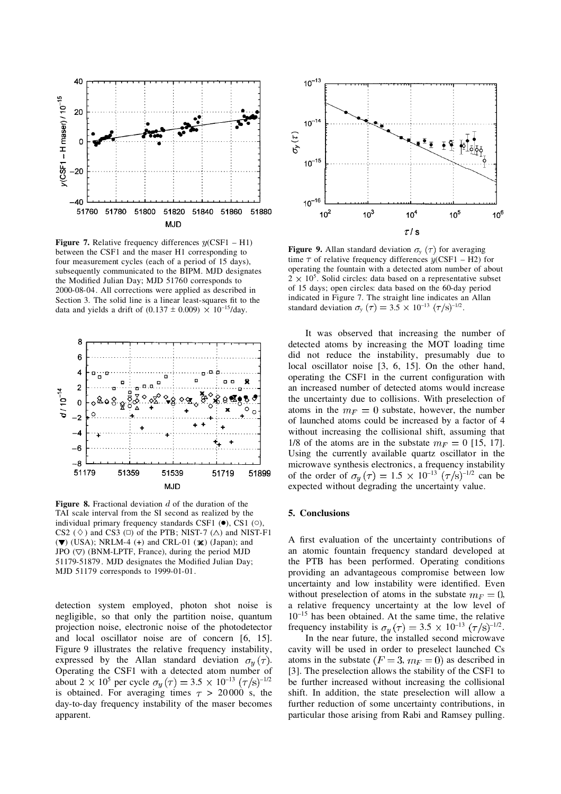

**Figure 7.** Relative frequency differences  $y$ (CSF1 – H1) between the CSF1 and the maser H1 corresponding to four measurement cycles (each of a period of 15 days), subsequently communicated to the BIPM. MJD designates the Modified Julian Day; MJD 51760 corresponds to 2000-08-04. All corrections were applied as described in Section 3. The solid line is a linear least-squares fit to the data and yields a drift of  $(0.137 \pm 0.009) \times 10^{-15}$ /day.



**Figure 8.** Fractional deviation d of the duration of the TAI scale interval from the SI second as realized by the individual primary frequency standards CSF1  $(\bullet)$ , CS1  $(\circ)$ , CS2 ( $\Diamond$ ) and CS3 ( $\Box$ ) of the PTB; NIST-7 ( $\triangle$ ) and NIST-F1  $(\blacktriangledown)$  (USA); NRLM-4 (+) and CRL-01  $(\blacktriangledown)$  (Japan); and JPO  $(\nabla)$  (BNM-LPTF, France), during the period MJD 51179-51879. MJD designates the Modified Julian Day; MJD 51179 corresponds to 1999-01-01.

detection system employed, photon shot noise is negligible, so that only the partition noise, quantum projection noise, electronic noise of the photodetector and local oscillator noise are of concern [6, 15]. Figure 9 illustrates the relative frequency instability, expressed by the Allan standard deviation  $\sigma_u(\tau)$ . Operating the CSF1 with a detected atom number of about 2  $\times$  10<sup>5</sup> per cycle  $\sigma_y(\tau) = 3.5 \times 10^{-13} (\tau/s)^{-1/2}$ is obtained. For averaging times  $\tau > 20000$  s, the day-to-day frequency instability of the maser becomes apparent.



**Figure 9.** Allan standard deviation  $\sigma_y(\tau)$  for averaging time  $\tau$  of relative frequency differences  $\psi$ (CSF1 – H2) for operating the fountain with a detected atom number of about  $2 \times 10^5$ . Solid circles: data based on a representative subset of 15 days; open circles: data based on the 60-day period indicated in Figure 7. The straight line indicates an Allan standard deviation  $\sigma_y(\tau) = 3.5 \times 10^{-13} (\tau/s)^{-1/2}$ .

It was observed that increasing the number of detected atoms by increasing the MOT loading time did not reduce the instability, presumably due to local oscillator noise [3, 6, 15]. On the other hand, operating the CSF1 in the current configuration with an increased number of detected atoms would increase the uncertainty due to collisions. With preselection of atoms in the  $m_F = 0$  substate, however, the number of launched atoms could be increased by a factor of 4 without increasing the collisional shift, assuming that 1/8 of the atoms are in the substate  $m_F = 0$  [15, 17]. Using the currently available quartz oscillator in the microwave synthesis electronics, a frequency instability of the order of  $\sigma_u(\tau) = 1.5 \times 10^{-13} (\tau/s)^{-1/2}$  can be expected without degrading the uncertainty value.

#### **5. Conclusions**

A first evaluation of the uncertainty contributions of an atomic fountain frequency standard developed at the PTB has been performed. Operating conditions providing an advantageous compromise between low uncertainty and low instability were identified. Even without preselection of atoms in the substate  $m_F = 0$ , a relative frequency uncertainty at the low level of  $10^{-15}$  has been obtained. At the same time, the relative frequency instability is  $\sigma_y(\tau) = 3.5 \times 10^{-13} (\tau/\text{s})^{-1/2}$ .

In the near future, the installed second microwave cavity will be used in order to preselect launched Cs atoms in the substate  $(F = 3, m_F = 0)$  as described in [3]. The preselection allows the stability of the CSF1 to be further increased without increasing the collisional shift. In addition, the state preselection will allow a further reduction of some uncertainty contributions, in particular those arising from Rabi and Ramsey pulling.